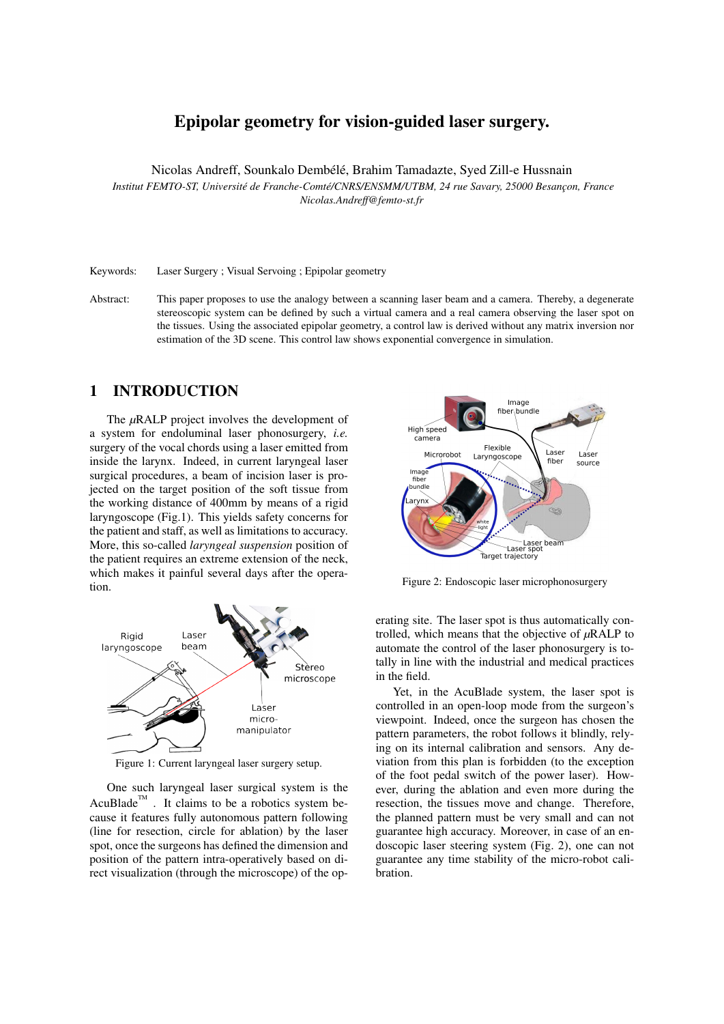# Epipolar geometry for vision-guided laser surgery.

Nicolas Andreff, Sounkalo Dembélé, Brahim Tamadazte, Syed Zill-e Hussnain *Institut FEMTO-ST, Université de Franche-Comté/CNRS/ENSMM/UTBM, 24 rue Savary, 25000 Besancon, France Nicolas.Andreff@femto-st.fr*

Keywords: Laser Surgery ; Visual Servoing ; Epipolar geometry

Abstract: This paper proposes to use the analogy between a scanning laser beam and a camera. Thereby, a degenerate stereoscopic system can be defined by such a virtual camera and a real camera observing the laser spot on the tissues. Using the associated epipolar geometry, a control law is derived without any matrix inversion nor estimation of the 3D scene. This control law shows exponential convergence in simulation.

## 1 INTRODUCTION

The *µ*RALP project involves the development of a system for endoluminal laser phonosurgery, *i.e.* surgery of the vocal chords using a laser emitted from inside the larynx. Indeed, in current laryngeal laser surgical procedures, a beam of incision laser is projected on the target position of the soft tissue from the working distance of 400mm by means of a rigid laryngoscope (Fig.1). This yields safety concerns for the patient and staff, as well as limitations to accuracy. More, this so-called *laryngeal suspension* position of the patient requires an extreme extension of the neck, which makes it painful several days after the operation.



Figure 1: Current laryngeal laser surgery setup.

One such laryngeal laser surgical system is the AcuBlade<sup>TM</sup>. It claims to be a robotics system because it features fully autonomous pattern following (line for resection, circle for ablation) by the laser spot, once the surgeons has defined the dimension and position of the pattern intra-operatively based on direct visualization (through the microscope) of the op-



Figure 2: Endoscopic laser microphonosurgery

erating site. The laser spot is thus automatically controlled, which means that the objective of *µ*RALP to automate the control of the laser phonosurgery is totally in line with the industrial and medical practices in the field.

Yet, in the AcuBlade system, the laser spot is controlled in an open-loop mode from the surgeon's viewpoint. Indeed, once the surgeon has chosen the pattern parameters, the robot follows it blindly, relying on its internal calibration and sensors. Any deviation from this plan is forbidden (to the exception of the foot pedal switch of the power laser). However, during the ablation and even more during the resection, the tissues move and change. Therefore, the planned pattern must be very small and can not guarantee high accuracy. Moreover, in case of an endoscopic laser steering system (Fig. 2), one can not guarantee any time stability of the micro-robot calibration.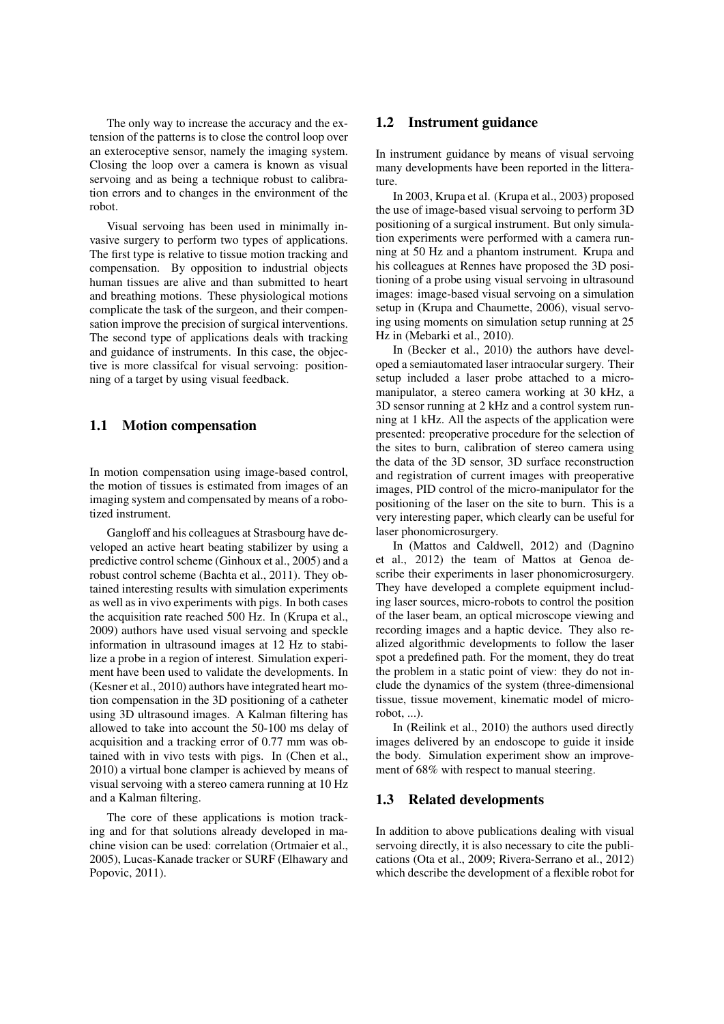The only way to increase the accuracy and the extension of the patterns is to close the control loop over an exteroceptive sensor, namely the imaging system. Closing the loop over a camera is known as visual servoing and as being a technique robust to calibration errors and to changes in the environment of the robot.

Visual servoing has been used in minimally invasive surgery to perform two types of applications. The first type is relative to tissue motion tracking and compensation. By opposition to industrial objects human tissues are alive and than submitted to heart and breathing motions. These physiological motions complicate the task of the surgeon, and their compensation improve the precision of surgical interventions. The second type of applications deals with tracking and guidance of instruments. In this case, the objective is more classifcal for visual servoing: positionning of a target by using visual feedback.

### 1.1 Motion compensation

In motion compensation using image-based control, the motion of tissues is estimated from images of an imaging system and compensated by means of a robotized instrument.

Gangloff and his colleagues at Strasbourg have developed an active heart beating stabilizer by using a predictive control scheme (Ginhoux et al., 2005) and a robust control scheme (Bachta et al., 2011). They obtained interesting results with simulation experiments as well as in vivo experiments with pigs. In both cases the acquisition rate reached 500 Hz. In (Krupa et al., 2009) authors have used visual servoing and speckle information in ultrasound images at 12 Hz to stabilize a probe in a region of interest. Simulation experiment have been used to validate the developments. In (Kesner et al., 2010) authors have integrated heart motion compensation in the 3D positioning of a catheter using 3D ultrasound images. A Kalman filtering has allowed to take into account the 50-100 ms delay of acquisition and a tracking error of 0.77 mm was obtained with in vivo tests with pigs. In (Chen et al., 2010) a virtual bone clamper is achieved by means of visual servoing with a stereo camera running at 10 Hz and a Kalman filtering.

The core of these applications is motion tracking and for that solutions already developed in machine vision can be used: correlation (Ortmaier et al., 2005), Lucas-Kanade tracker or SURF (Elhawary and Popovic, 2011).

#### 1.2 Instrument guidance

In instrument guidance by means of visual servoing many developments have been reported in the litterature.

In 2003, Krupa et al. (Krupa et al., 2003) proposed the use of image-based visual servoing to perform 3D positioning of a surgical instrument. But only simulation experiments were performed with a camera running at 50 Hz and a phantom instrument. Krupa and his colleagues at Rennes have proposed the 3D positioning of a probe using visual servoing in ultrasound images: image-based visual servoing on a simulation setup in (Krupa and Chaumette, 2006), visual servoing using moments on simulation setup running at 25 Hz in (Mebarki et al., 2010).

In (Becker et al., 2010) the authors have developed a semiautomated laser intraocular surgery. Their setup included a laser probe attached to a micromanipulator, a stereo camera working at 30 kHz, a 3D sensor running at 2 kHz and a control system running at 1 kHz. All the aspects of the application were presented: preoperative procedure for the selection of the sites to burn, calibration of stereo camera using the data of the 3D sensor, 3D surface reconstruction and registration of current images with preoperative images, PID control of the micro-manipulator for the positioning of the laser on the site to burn. This is a very interesting paper, which clearly can be useful for laser phonomicrosurgery.

In (Mattos and Caldwell, 2012) and (Dagnino et al., 2012) the team of Mattos at Genoa describe their experiments in laser phonomicrosurgery. They have developed a complete equipment including laser sources, micro-robots to control the position of the laser beam, an optical microscope viewing and recording images and a haptic device. They also realized algorithmic developments to follow the laser spot a predefined path. For the moment, they do treat the problem in a static point of view: they do not include the dynamics of the system (three-dimensional tissue, tissue movement, kinematic model of microrobot, ...).

In (Reilink et al., 2010) the authors used directly images delivered by an endoscope to guide it inside the body. Simulation experiment show an improvement of 68% with respect to manual steering.

### 1.3 Related developments

In addition to above publications dealing with visual servoing directly, it is also necessary to cite the publications (Ota et al., 2009; Rivera-Serrano et al., 2012) which describe the development of a flexible robot for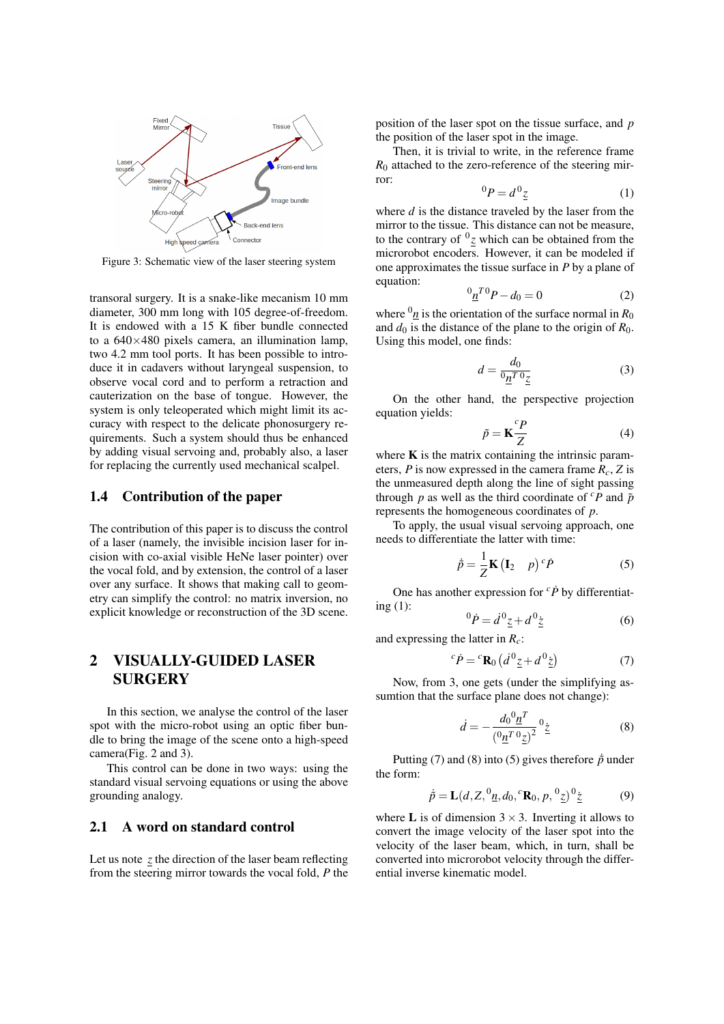

Figure 3: Schematic view of the laser steering system

transoral surgery. It is a snake-like mecanism 10 mm diameter, 300 mm long with 105 degree-of-freedom. It is endowed with a 15 K fiber bundle connected to a  $640\times480$  pixels camera, an illumination lamp, two 4.2 mm tool ports. It has been possible to introduce it in cadavers without laryngeal suspension, to observe vocal cord and to perform a retraction and cauterization on the base of tongue. However, the system is only teleoperated which might limit its accuracy with respect to the delicate phonosurgery requirements. Such a system should thus be enhanced by adding visual servoing and, probably also, a laser for replacing the currently used mechanical scalpel.

### 1.4 Contribution of the paper

The contribution of this paper is to discuss the control of a laser (namely, the invisible incision laser for incision with co-axial visible HeNe laser pointer) over the vocal fold, and by extension, the control of a laser over any surface. It shows that making call to geometry can simplify the control: no matrix inversion, no explicit knowledge or reconstruction of the 3D scene.

# 2 VISUALLY-GUIDED LASER SURGERY

In this section, we analyse the control of the laser spot with the micro-robot using an optic fiber bundle to bring the image of the scene onto a high-speed camera(Fig. 2 and 3).

This control can be done in two ways: using the standard visual servoing equations or using the above grounding analogy.

## 2.1 A word on standard control

Let us note *z* the direction of the laser beam reflecting from the steering mirror towards the vocal fold, *P* the position of the laser spot on the tissue surface, and *p* the position of the laser spot in the image.

Then, it is trivial to write, in the reference frame  $R_0$  attached to the zero-reference of the steering mirror:

$$
{}^{0}P = d \, {}^{0}\underline{z} \tag{1}
$$

where *d* is the distance traveled by the laser from the mirror to the tissue. This distance can not be measure, to the contrary of  $^{0}$ <sub>Z</sub> which can be obtained from the microrobot encoders. However, it can be modeled if one approximates the tissue surface in *P* by a plane of equation:

$$
{}^{0}\underline{n}^{T0}P - d_0 = 0 \tag{2}
$$

where  $^{0}n$  is the orientation of the surface normal in  $R_0$ and  $d_0$  is the distance of the plane to the origin of  $R_0$ . Using this model, one finds:

$$
d = \frac{d_0}{\mathfrak{v}_1^T \mathfrak{v}_2} \tag{3}
$$

On the other hand, the perspective projection equation yields:

$$
\tilde{p} = \mathbf{K} \frac{^c P}{Z} \tag{4}
$$

where  $\bf{K}$  is the matrix containing the intrinsic parameters, *P* is now expressed in the camera frame  $R_c$ , *Z* is the unmeasured depth along the line of sight passing through *p* as well as the third coordinate of  ${}^cP$  and  $\tilde{p}$ represents the homogeneous coordinates of *p*.

To apply, the usual visual servoing approach, one needs to differentiate the latter with time:

$$
\dot{\tilde{p}} = \frac{1}{Z} \mathbf{K} \begin{pmatrix} \mathbf{I}_2 & p \end{pmatrix}^c \dot{P}
$$
 (5)

One has another expression for  ${}^{c}\dot{P}$  by differentiating (1):

$$
{}^{0}\dot{P} = \dot{d}^{0}\underline{z} + d^{0}\underline{z}
$$
 (6)

and expressing the latter in *Rc*:

$$
{}^{c}\dot{P} = {}^{c}\mathbf{R}_{0} \left( \dot{d}^{0} \underline{z} + d^{0} \underline{\dot{z}} \right) \tag{7}
$$

Now, from 3, one gets (under the simplifying assumtion that the surface plane does not change):

$$
\dot{d} = -\frac{d_0^0 \underline{n}^T}{(\mathbf{0}\underline{n}^T \mathbf{0}\underline{z})^2} \mathbf{0}\underline{z}
$$
 (8)

Putting (7) and (8) into (5) gives therefore  $\dot{p}$  under the form:

$$
\dot{\tilde{p}} = \mathbf{L}(d, Z, {}^{0}\underline{n}, d_0, {}^{c}\mathbf{R}_0, p, {}^{0}\underline{z}) {}^{0}\underline{z}
$$
 (9)

where **L** is of dimension  $3 \times 3$ . Inverting it allows to convert the image velocity of the laser spot into the velocity of the laser beam, which, in turn, shall be converted into microrobot velocity through the differential inverse kinematic model.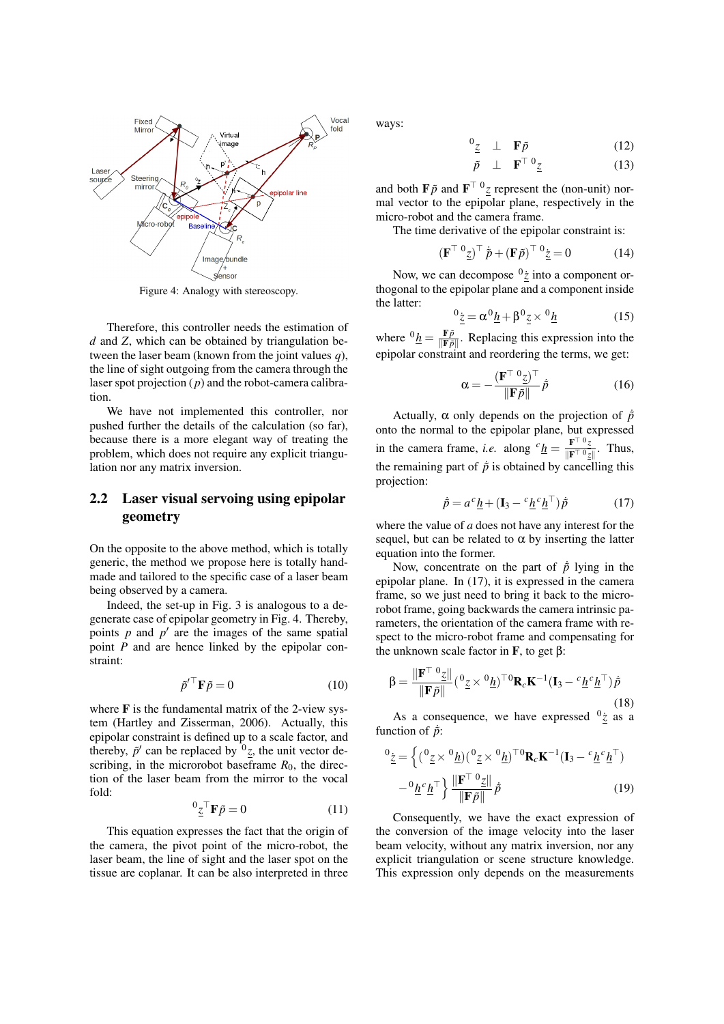

Figure 4: Analogy with stereoscopy.

Therefore, this controller needs the estimation of *d* and *Z*, which can be obtained by triangulation between the laser beam (known from the joint values *q*), the line of sight outgoing from the camera through the laser spot projection (*p*) and the robot-camera calibration.

We have not implemented this controller, nor pushed further the details of the calculation (so far), because there is a more elegant way of treating the problem, which does not require any explicit triangulation nor any matrix inversion.

## 2.2 Laser visual servoing using epipolar geometry

On the opposite to the above method, which is totally generic, the method we propose here is totally handmade and tailored to the specific case of a laser beam being observed by a camera.

Indeed, the set-up in Fig. 3 is analogous to a degenerate case of epipolar geometry in Fig. 4. Thereby, points  $p$  and  $p'$  are the images of the same spatial point *P* and are hence linked by the epipolar constraint:

$$
\tilde{p}'^{\top}\mathbf{F}\tilde{p} = 0 \tag{10}
$$

where  $\bf{F}$  is the fundamental matrix of the 2-view system (Hartley and Zisserman, 2006). Actually, this epipolar constraint is defined up to a scale factor, and thereby,  $\tilde{p}'$  can be replaced by  $\sigma_z$ , the unit vector describing, in the microrobot baseframe  $R_0$ , the direction of the laser beam from the mirror to the vocal fold:

$$
{}^{0}\underline{z}^{\top}\mathbf{F}\tilde{p} = 0 \tag{11}
$$

This equation expresses the fact that the origin of the camera, the pivot point of the micro-robot, the laser beam, the line of sight and the laser spot on the tissue are coplanar. It can be also interpreted in three ways:

$$
\begin{array}{cccc}\n^{0}z & \perp & \mathbf{F}\tilde{p} & (12) \\
\vdots & \vdots & \ddots & \vdots \\
^{0} & & \mathbf{F}^{\top} \mathbf{0} & (12)\n\end{array}
$$

$$
\tilde{p} \perp \mathbf{F}^{\top} \, {}^0\underline{z} \tag{13}
$$

and both  $\mathbf{F}\tilde{p}$  and  $\mathbf{F}^{\top}$ <sup>0</sup> $\tilde{z}$  represent the (non-unit) normal vector to the epipolar plane, respectively in the micro-robot and the camera frame.

The time derivative of the epipolar constraint is:

$$
\left(\mathbf{F}^{\top} \, {}^{0}\underline{z}\right)^{\top} \dot{\tilde{p}} + \left(\mathbf{F} \tilde{p}\right)^{\top} \, {}^{0}\underline{\dot{z}} = 0 \tag{14}
$$

Now, we can decompose  $\frac{0}{z}$  into a component orthogonal to the epipolar plane and a component inside the latter:

$$
{}^{0}\underline{\dot{z}} = \alpha^{0}\underline{h} + \beta^{0}\underline{z} \times {}^{0}\underline{h}
$$
 (15)

where  ${}^{0}\underline{h} = \frac{F\tilde{p}}{\mathbb{F}\tilde{p}}$  $\frac{\mathbf{F}p}{\|\mathbf{F}\tilde{p}\|}$ . Replacing this expression into the epipolar constraint and reordering the terms, we get:

$$
\alpha = -\frac{(\mathbf{F}^{\top} \, {}^0\underline{z})^{\top}}{\|\mathbf{F}\tilde{p}\|} \dot{p}
$$
 (16)

Actually,  $\alpha$  only depends on the projection of  $\dot{p}$ onto the normal to the epipolar plane, but expressed in the camera frame, *i.e.* along  ${}^{c}$   $h = \frac{F^{\top} {}^{0}z}{\sqrt{F^{\top} {}^{0}z}}$  $\frac{\mathbf{r} - \underline{z}}{\|\mathbf{F}^\top \mathbf{0} - \underline{z}\|}$ . Thus, the remaining part of  $\dot{p}$  is obtained by cancelling this projection:

$$
\dot{\tilde{p}} = a^c \underline{h} + (\mathbf{I}_3 - c^c \underline{h}^c \underline{h}^\top) \dot{\tilde{p}} \tag{17}
$$

where the value of *a* does not have any interest for the sequel, but can be related to  $\alpha$  by inserting the latter equation into the former.

Now, concentrate on the part of  $\dot{p}$  lying in the epipolar plane. In (17), it is expressed in the camera frame, so we just need to bring it back to the microrobot frame, going backwards the camera intrinsic parameters, the orientation of the camera frame with respect to the micro-robot frame and compensating for the unknown scale factor in **F**, to get β:

$$
\beta = \frac{\|\mathbf{F}^{\top} \,^{0} \underline{z}\|}{\|\mathbf{F}\tilde{p}\|} ({}^{0} \underline{z} \times {}^{0} \underline{h})^{\top 0} \mathbf{R}_{c} \mathbf{K}^{-1} (\mathbf{I}_{3} - {}^{c} \underline{h}^{c} \underline{h}^{\top}) \dot{\tilde{p}} \tag{18}
$$

As a consequence, we have expressed  $\frac{0}{z}$  as a function of  $\dot{p}$ :

$$
{}^{0}\underline{z} = \left\{ ({}^{0}\underline{z} \times {}^{0}\underline{h})({}^{0}\underline{z} \times {}^{0}\underline{h})^{\top 0} \mathbf{R}_{c} \mathbf{K}^{-1} (\mathbf{I}_{3} - {}^{c}\underline{h}{}^{c}\underline{h}^{\top}) - {}^{0}\underline{h}{}^{c}\underline{h}^{\top} \right\} \frac{\|\mathbf{F}^{\top} {}^{0}\underline{z}\|}{\|\mathbf{F} \tilde{p}\|} \tilde{p}
$$
(19)

Consequently, we have the exact expression of the conversion of the image velocity into the laser beam velocity, without any matrix inversion, nor any explicit triangulation or scene structure knowledge. This expression only depends on the measurements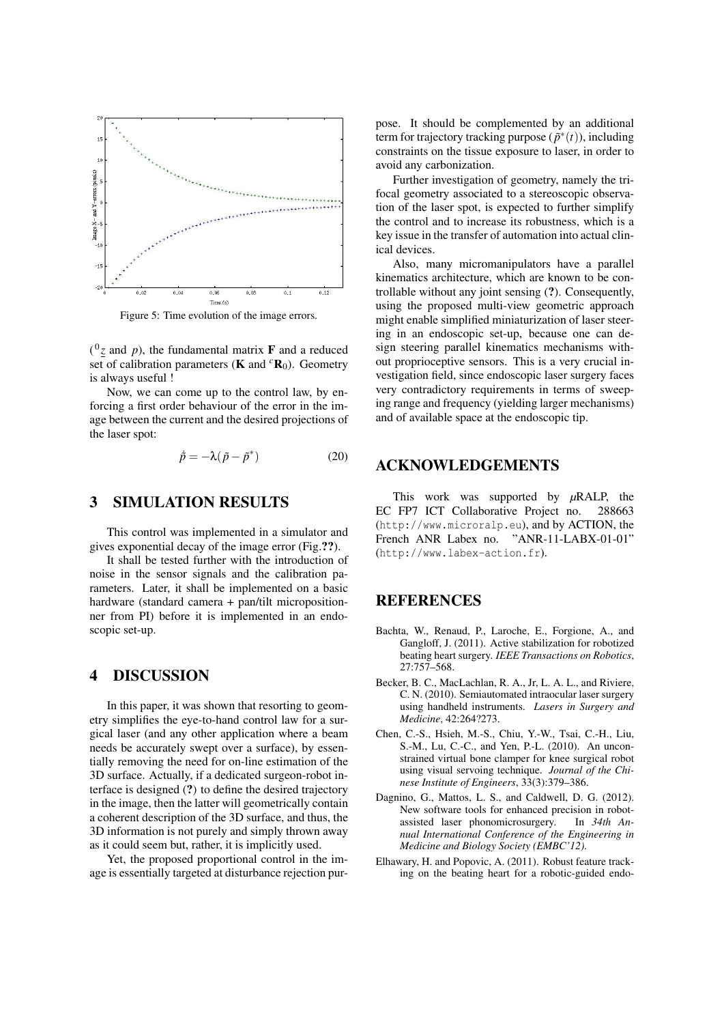

Figure 5: Time evolution of the image errors.

 $\binom{0}{z}$  and p), the fundamental matrix **F** and a reduced set of calibration parameters (**K** and  ${}^{c}R_{0}$ ). Geometry is always useful !

Now, we can come up to the control law, by enforcing a first order behaviour of the error in the image between the current and the desired projections of the laser spot:

$$
\dot{\tilde{p}} = -\lambda (\tilde{p} - \tilde{p}^*)
$$
 (20)

## 3 SIMULATION RESULTS

This control was implemented in a simulator and gives exponential decay of the image error (Fig.??).

It shall be tested further with the introduction of noise in the sensor signals and the calibration parameters. Later, it shall be implemented on a basic hardware (standard camera + pan/tilt micropositionner from PI) before it is implemented in an endoscopic set-up.

#### 4 DISCUSSION

In this paper, it was shown that resorting to geometry simplifies the eye-to-hand control law for a surgical laser (and any other application where a beam needs be accurately swept over a surface), by essentially removing the need for on-line estimation of the 3D surface. Actually, if a dedicated surgeon-robot interface is designed (?) to define the desired trajectory in the image, then the latter will geometrically contain a coherent description of the 3D surface, and thus, the 3D information is not purely and simply thrown away as it could seem but, rather, it is implicitly used.

Yet, the proposed proportional control in the image is essentially targeted at disturbance rejection purpose. It should be complemented by an additional term for trajectory tracking purpose  $(\tilde{p}^*(t))$ , including constraints on the tissue exposure to laser, in order to avoid any carbonization.

Further investigation of geometry, namely the trifocal geometry associated to a stereoscopic observation of the laser spot, is expected to further simplify the control and to increase its robustness, which is a key issue in the transfer of automation into actual clinical devices.

Also, many micromanipulators have a parallel kinematics architecture, which are known to be controllable without any joint sensing (?). Consequently, using the proposed multi-view geometric approach might enable simplified miniaturization of laser steering in an endoscopic set-up, because one can design steering parallel kinematics mechanisms without proprioceptive sensors. This is a very crucial investigation field, since endoscopic laser surgery faces very contradictory requirements in terms of sweeping range and frequency (yielding larger mechanisms) and of available space at the endoscopic tip.

## ACKNOWLEDGEMENTS

This work was supported by *µ*RALP, the EC FP7 ICT Collaborative Project no. 288663 (http://www.microralp.eu), and by ACTION, the French ANR Labex no. "ANR-11-LABX-01-01" (http://www.labex-action.fr).

## **REFERENCES**

- Bachta, W., Renaud, P., Laroche, E., Forgione, A., and Gangloff, J. (2011). Active stabilization for robotized beating heart surgery. *IEEE Transactions on Robotics*, 27:757–568.
- Becker, B. C., MacLachlan, R. A., Jr, L. A. L., and Riviere, C. N. (2010). Semiautomated intraocular laser surgery using handheld instruments. *Lasers in Surgery and Medicine*, 42:264?273.
- Chen, C.-S., Hsieh, M.-S., Chiu, Y.-W., Tsai, C.-H., Liu, S.-M., Lu, C.-C., and Yen, P.-L. (2010). An unconstrained virtual bone clamper for knee surgical robot using visual servoing technique. *Journal of the Chinese Institute of Engineers*, 33(3):379–386.
- Dagnino, G., Mattos, L. S., and Caldwell, D. G. (2012). New software tools for enhanced precision in robot-<br>assisted laser phonomicrosurgery. In  $34th$  Anassisted laser phonomicrosurgery. *nual International Conference of the Engineering in Medicine and Biology Society (EMBC'12).*
- Elhawary, H. and Popovic, A. (2011). Robust feature tracking on the beating heart for a robotic-guided endo-